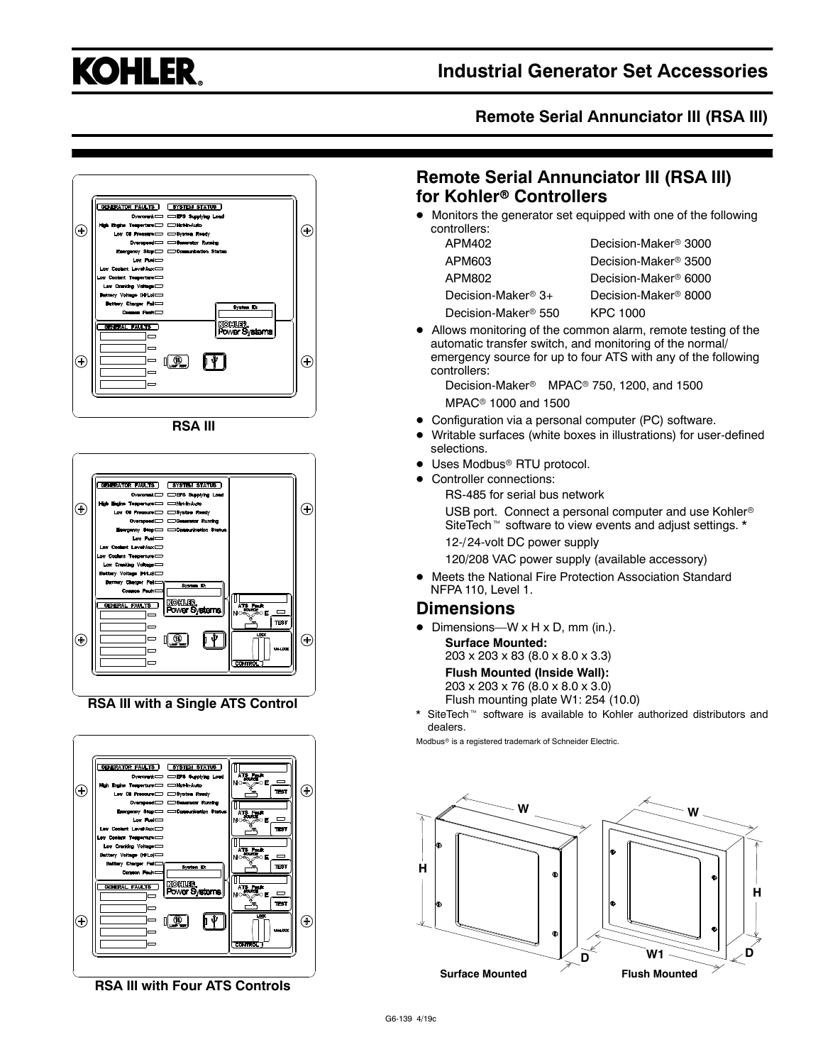

### **Remote Serial Annunciator III (RSA III)**



**RSA III**



**RSA III with a Single ATS Control**



**RSA III with Four ATS Controls**

# **Remote Serial Annunciator III (RSA III) for Kohler<sup>®</sup> Controllers**

 $\bullet$  Monitors the generator set equipped with one of the following controllers:

| APM402                          | Decision-Maker <sup>®</sup> 3000 |
|---------------------------------|----------------------------------|
| APM603                          | Decision-Maker® 3500             |
| APM802                          | Decision-Maker® 6000             |
| Decision-Maker <sup>®</sup> 3+  | Decision-Maker <sup>®</sup> 8000 |
| Decision-Maker <sup>®</sup> 550 | KPC 1000                         |

• Allows monitoring of the common alarm, remote testing of the automatic transfer switch, and monitoring of the normal/ emergency source for up to four ATS with any of the following controllers:

Decision-Maker<sup>®</sup> MPAC<sup>®</sup> 750, 1200, and 1500 MPAC<sup>®</sup> 1000 and 1500

- Configuration via a personal computer (PC) software.
- Writable surfaces (white boxes in illustrations) for user-defined selections.
- Uses Modbus<sup>®</sup> RTU protocol.
- Controller connections:
	- RS-485 for serial bus network

USB port. Connect a personal computer and use Kohler<sup>®</sup> SiteTech<sup>™</sup> software to view events and adjust settings. \*

12-/ 24-volt DC power supply

120/208 VAC power supply (available accessory)

 $\bullet$  Meets the National Fire Protection Association Standard NFPA 110, Level 1.

#### **Dimensions**

• Dimensions—W  $\times$  H  $\times$  D, mm (in.).

**Surface Mounted:** 203 x 203 x 83 (8.0 x 8.0 x 3.3) **Flush Mounted (Inside Wall):** 203 x 203 x 76 (8.0 x 8.0 x 3.0)

Flush mounting plate W1: 254 (10.0)

SiteTech<sup>™</sup> software is available to Kohler authorized distributors and dealers.

Modbus<sup>®</sup> is a registered trademark of Schneider Electric.

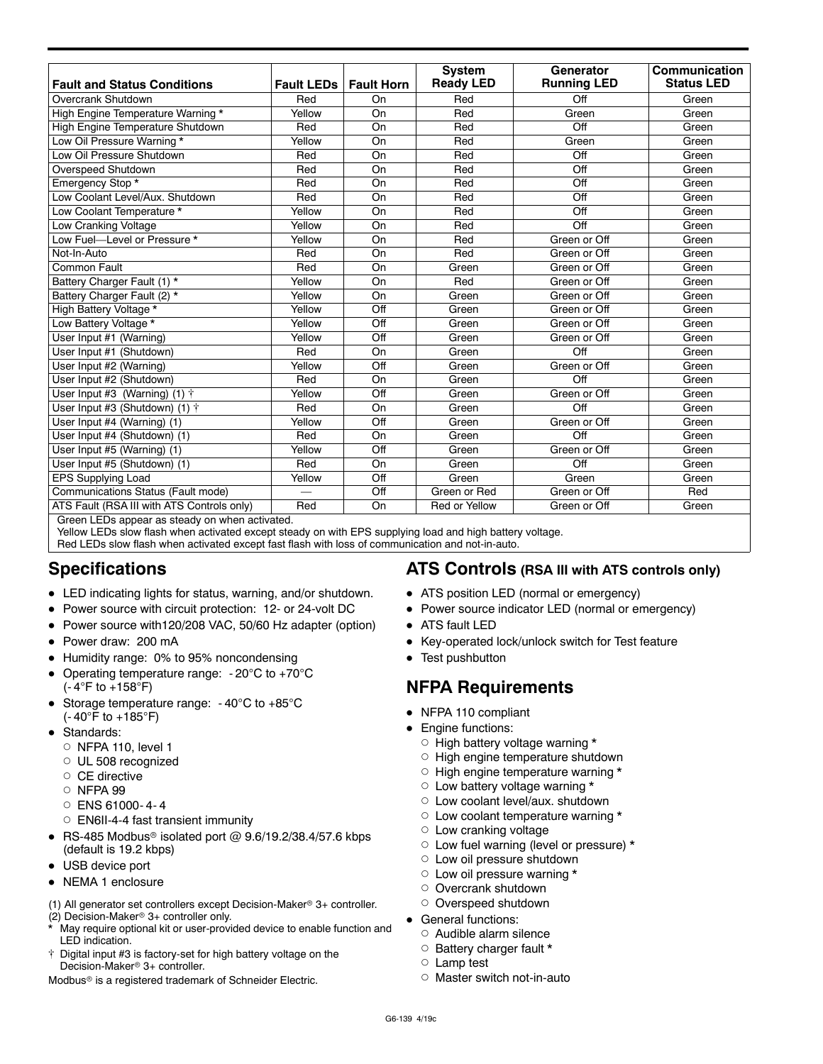| <b>Fault LEDs</b><br>Red<br>Yellow<br>Red | <b>Fault Horn</b><br>On<br>On                                                       | <b>Ready LED</b><br>Red          | <b>Running LED</b>              | <b>Status LED</b>                               |
|-------------------------------------------|-------------------------------------------------------------------------------------|----------------------------------|---------------------------------|-------------------------------------------------|
|                                           |                                                                                     |                                  |                                 | Green                                           |
|                                           |                                                                                     |                                  | Off                             |                                                 |
|                                           |                                                                                     | Red                              | Green                           | Green                                           |
|                                           |                                                                                     |                                  |                                 | Green                                           |
|                                           |                                                                                     |                                  |                                 | Green                                           |
|                                           |                                                                                     |                                  |                                 | Green                                           |
|                                           |                                                                                     |                                  |                                 | Green                                           |
|                                           |                                                                                     |                                  |                                 | Green                                           |
|                                           |                                                                                     | Red                              |                                 | Green                                           |
| Yellow                                    | On                                                                                  | Red                              |                                 | Green                                           |
| Yellow                                    | On                                                                                  | Red                              | Off                             | Green                                           |
| Yellow                                    | On                                                                                  | Red                              | Green or Off                    | Green                                           |
| Red                                       | On                                                                                  | Red                              | Green or Off                    | Green                                           |
| Red                                       | On                                                                                  | Green                            | Green or Off                    | Green                                           |
| Yellow                                    | On                                                                                  | Red                              | Green or Off                    | Green                                           |
| Yellow                                    | On                                                                                  | Green                            | Green or Off                    | Green                                           |
| Yellow                                    | Off                                                                                 | Green                            | Green or Off                    | Green                                           |
| Yellow                                    | Off                                                                                 | Green                            | Green or Off                    | Green                                           |
| Yellow                                    | Off                                                                                 | Green                            | Green or Off                    | Green                                           |
| Red                                       | On                                                                                  | Green                            | Off                             | Green                                           |
| Yellow                                    | Off                                                                                 | Green                            | Green or Off                    | Green                                           |
| Red                                       | On                                                                                  | Green                            | Off                             | Green                                           |
| Yellow                                    | Off                                                                                 | Green                            | Green or Off                    | Green                                           |
| Red                                       | On                                                                                  | Green                            | Off                             | Green                                           |
| Yellow                                    | Off                                                                                 | Green                            | Green or Off                    | Green                                           |
| Red                                       | On                                                                                  | Green                            | Off                             | Green                                           |
| Yellow                                    | Off                                                                                 | Green                            | Green or Off                    | Green                                           |
| Red                                       | On                                                                                  | Green                            | Off                             | Green                                           |
| Yellow                                    | Off                                                                                 | Green                            | Green                           | Green                                           |
|                                           | Off                                                                                 | Green or Red                     | Green or Off                    | Red                                             |
| Red                                       | On                                                                                  | Red or Yellow                    | Green or Off                    | Green                                           |
|                                           | Yellow<br>Red<br>Red<br>Red<br>Red<br>Groop LEDs appear as stoody on whon activated | On<br>On<br>On<br>On<br>On<br>On | Red<br>Red<br>Red<br>Red<br>Red | Off<br>Green<br>Off<br>Off<br>Off<br>Off<br>Off |

Green LEDs appear as steady on when activated.

Yellow LEDs slow flash when activated except steady on with EPS supplying load and high battery voltage. Red LEDs slow flash when activated except fast flash with loss of communication and not-in-auto.

# **Specifications**

- LED indicating lights for status, warning, and/or shutdown.
- Power source with circuit protection: 12- or 24-volt DC
- Power source with120/208 VAC, 50/60 Hz adapter (option)
- Power draw: 200 mA
- Humidity range: 0% to 95% noncondensing
- Operating temperature range:  $-20^{\circ}$ C to  $+70^{\circ}$ C  $(-4^{\circ}F$  to  $+158^{\circ}F)$
- Storage temperature range:  $-40^{\circ}$ C to  $+85^{\circ}$ C  $(-40^{\circ}$ F to  $+185^{\circ}$ F)
- Standards:
	- $\circ$  NFPA 110, level 1
	- O UL 508 recognized
	- $\circ$  CE directive
	- d NFPA 99
	- $O$  ENS 61000-4-4
	- $\circ$  EN6II-4-4 fast transient immunity
- $\bullet$  RS-485 Modbus® isolated port @ 9.6/19.2/38.4/57.6 kbps (default is 19.2 kbps)
- USB device port
- NEMA 1 enclosure

(1) All generator set controllers except Decision-Maker<sup>®</sup>  $3+$  controller. (2) Decision-Maker<sup>®</sup> 3+ controller only.

- May require optional kit or user-provided device to enable function and LED indication.
- t Digital input #3 is factory-set for high battery voltage on the Decision-Maker<sup>®</sup> 3+ controller.

Modbus<sup>®</sup> is a registered trademark of Schneider Electric.

#### **ATS Controls (RSA III with ATS controls only)**

- ATS position LED (normal or emergency)
- Power source indicator LED (normal or emergency)
- ATS fault LED
- Key-operated lock/unlock switch for Test feature
- $\bullet$  Test pushbutton

# **NFPA Requirements**

- NFPA 110 compliant
- Engine functions:
	- $\circ$  High battery voltage warning \*
	- o High engine temperature shutdown
	- $\circ$  High engine temperature warning  $*$
	- $\circ$  Low battery voltage warning \*
	- $\circ$  Low coolant level/aux. shutdown
	- $\circ$  Low coolant temperature warning  $*$
	- $\circ$  Low cranking voltage
	- $\circ$  Low fuel warning (level or pressure) \*
	- $\circ$  Low oil pressure shutdown
	- $\circ$  Low oil pressure warning \*
	- O Overcrank shutdown
	- O Overspeed shutdown
- General functions:
	- $\circ$  Audible alarm silence
	- $\circ$  Battery charger fault \*
	- $\circ$  Lamp test
	- $\circ$  Master switch not-in-auto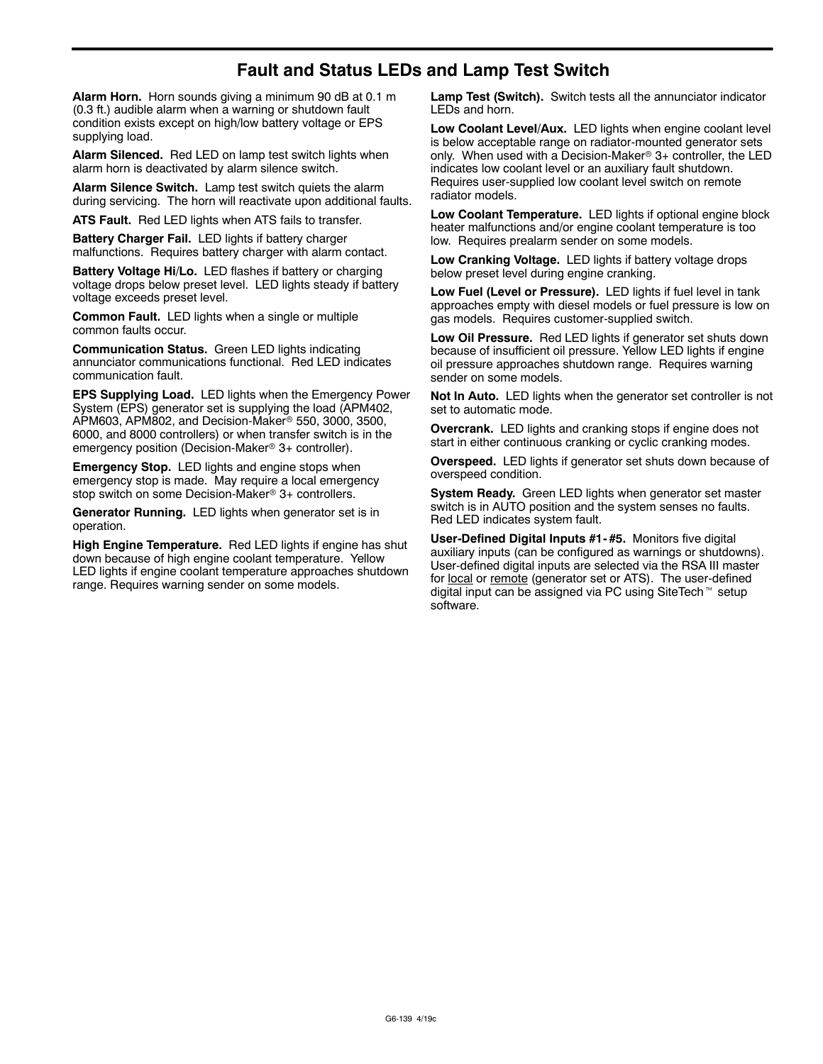# **Fault and Status LEDs and Lamp Test Switch**

**Alarm Horn.** Horn sounds giving a minimum 90 dB at 0.1 m (0.3 ft.) audible alarm when a warning or shutdown fault condition exists except on high/low battery voltage or EPS supplying load.

**Alarm Silenced.** Red LED on lamp test switch lights when alarm horn is deactivated by alarm silence switch.

**Alarm Silence Switch.** Lamp test switch quiets the alarm during servicing. The horn will reactivate upon additional faults.

**ATS Fault.** Red LED lights when ATS fails to transfer.

**Battery Charger Fail.** LED lights if battery charger malfunctions. Requires battery charger with alarm contact.

**Battery Voltage Hi/Lo.** LED flashes if battery or charging voltage drops below preset level. LED lights steady if battery voltage exceeds preset level.

**Common Fault.** LED lights when a single or multiple common faults occur.

**Communication Status.** Green LED lights indicating annunciator communications functional. Red LED indicates communication fault.

**EPS Supplying Load.** LED lights when the Emergency Power System (EPS) generator set is supplying the load (APM402, APM603, APM802, and Decision-Maker<sup>®</sup> 550, 3000, 3500, 6000, and 8000 controllers) or when transfer switch is in the emergency position (Decision-Maker<sup>®</sup> 3+ controller).

**Emergency Stop.** LED lights and engine stops when emergency stop is made. May require a local emergency stop switch on some Decision-Maker<sup>®</sup> 3+ controllers.

**Generator Running.** LED lights when generator set is in operation.

**High Engine Temperature.** Red LED lights if engine has shut down because of high engine coolant temperature. Yellow LED lights if engine coolant temperature approaches shutdown range. Requires warning sender on some models.

**Lamp Test (Switch).** Switch tests all the annunciator indicator LEDs and horn.

**Low Coolant Level/Aux.** LED lights when engine coolant level is below acceptable range on radiator-mounted generator sets only. When used with a Decision-Maker<sup>®</sup> 3+ controller, the LED indicates low coolant level or an auxiliary fault shutdown. Requires user-supplied low coolant level switch on remote radiator models.

**Low Coolant Temperature.** LED lights if optional engine block heater malfunctions and/or engine coolant temperature is too low. Requires prealarm sender on some models.

**Low Cranking Voltage.** LED lights if battery voltage drops below preset level during engine cranking.

**Low Fuel (Level or Pressure).** LED lights if fuel level in tank approaches empty with diesel models or fuel pressure is low on gas models. Requires customer-supplied switch.

**Low Oil Pressure.** Red LED lights if generator set shuts down because of insufficient oil pressure. Yellow LED lights if engine oil pressure approaches shutdown range. Requires warning sender on some models.

**Not In Auto.** LED lights when the generator set controller is not set to automatic mode.

**Overcrank.** LED lights and cranking stops if engine does not start in either continuous cranking or cyclic cranking modes.

**Overspeed.** LED lights if generator set shuts down because of overspeed condition.

**System Ready.** Green LED lights when generator set master switch is in AUTO position and the system senses no faults. Red LED indicates system fault.

**User-Defined Digital Inputs #1- #5.** Monitors five digital auxiliary inputs (can be configured as warnings or shutdowns). User-defined digital inputs are selected via the RSA III master for local or remote (generator set or ATS). The user-defined digital input can be assigned via PC using SiteTech<sup>™</sup> setup software.